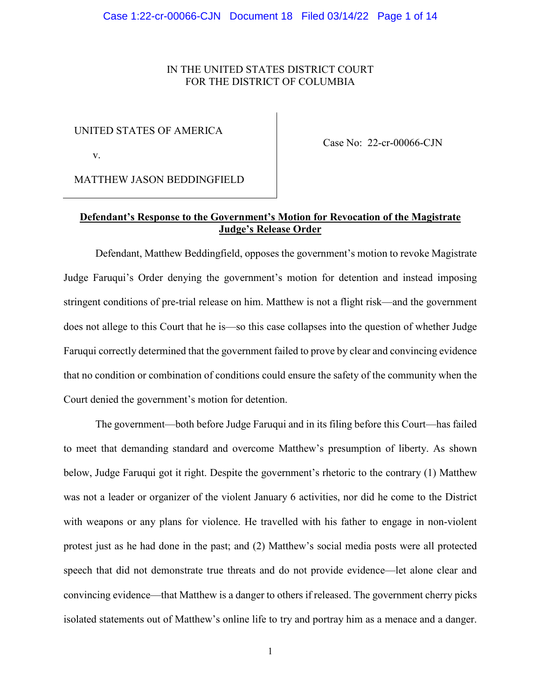## IN THE UNITED STATES DISTRICT COURT FOR THE DISTRICT OF COLUMBIA

### UNITED STATES OF AMERICA

v.

Case No: 22-cr-00066-CJN

MATTHEW JASON BEDDINGFIELD

## **Defendant's Response to the Government's Motion for Revocation of the Magistrate Judge's Release Order**

Defendant, Matthew Beddingfield, opposes the government's motion to revoke Magistrate Judge Faruqui's Order denying the government's motion for detention and instead imposing stringent conditions of pre-trial release on him. Matthew is not a flight risk—and the government does not allege to this Court that he is—so this case collapses into the question of whether Judge Faruqui correctly determined that the government failed to prove by clear and convincing evidence that no condition or combination of conditions could ensure the safety of the community when the Court denied the government's motion for detention.

The government—both before Judge Faruqui and in its filing before this Court—has failed to meet that demanding standard and overcome Matthew's presumption of liberty. As shown below, Judge Faruqui got it right. Despite the government's rhetoric to the contrary (1) Matthew was not a leader or organizer of the violent January 6 activities, nor did he come to the District with weapons or any plans for violence. He travelled with his father to engage in non-violent protest just as he had done in the past; and (2) Matthew's social media posts were all protected speech that did not demonstrate true threats and do not provide evidence—let alone clear and convincing evidence—that Matthew is a danger to others if released. The government cherry picks isolated statements out of Matthew's online life to try and portray him as a menace and a danger.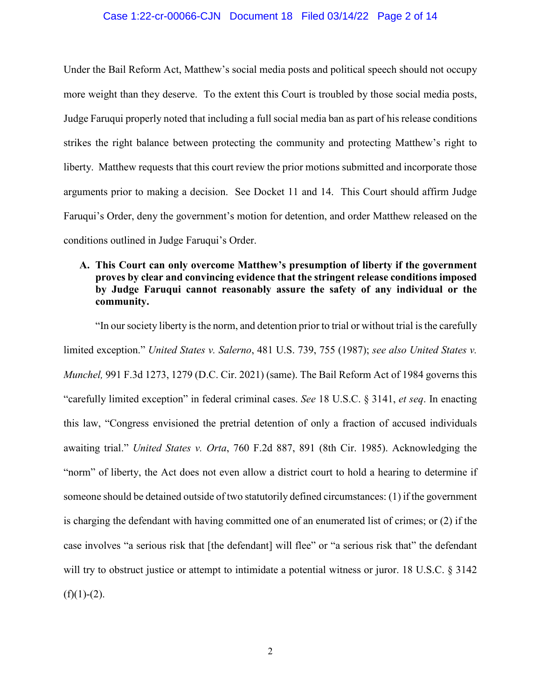### Case 1:22-cr-00066-CJN Document 18 Filed 03/14/22 Page 2 of 14

Under the Bail Reform Act, Matthew's social media posts and political speech should not occupy more weight than they deserve. To the extent this Court is troubled by those social media posts, Judge Faruqui properly noted that including a full social media ban as part of his release conditions strikes the right balance between protecting the community and protecting Matthew's right to liberty. Matthew requests that this court review the prior motions submitted and incorporate those arguments prior to making a decision. See Docket 11 and 14. This Court should affirm Judge Faruqui's Order, deny the government's motion for detention, and order Matthew released on the conditions outlined in Judge Faruqui's Order.

# **A. This Court can only overcome Matthew's presumption of liberty if the government proves by clear and convincing evidence that the stringent release conditions imposed by Judge Faruqui cannot reasonably assure the safety of any individual or the community.**

"In our society liberty is the norm, and detention prior to trial or without trial is the carefully limited exception." *United States v. Salerno*, 481 U.S. 739, 755 (1987); *see also United States v. Munchel,* 991 F.3d 1273, 1279 (D.C. Cir. 2021) (same). The Bail Reform Act of 1984 governs this "carefully limited exception" in federal criminal cases. *See* 18 U.S.C. § 3141, *et seq*. In enacting this law, "Congress envisioned the pretrial detention of only a fraction of accused individuals awaiting trial." *United States v. Orta*, 760 F.2d 887, 891 (8th Cir. 1985). Acknowledging the "norm" of liberty, the Act does not even allow a district court to hold a hearing to determine if someone should be detained outside of two statutorily defined circumstances: (1) if the government is charging the defendant with having committed one of an enumerated list of crimes; or (2) if the case involves "a serious risk that [the defendant] will flee" or "a serious risk that" the defendant will try to obstruct justice or attempt to intimidate a potential witness or juror. 18 U.S.C. § 3142  $(f)(1)-(2)$ .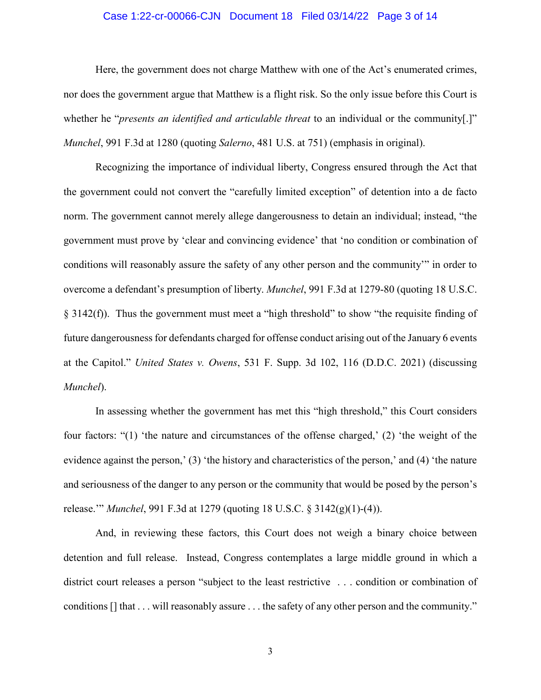### Case 1:22-cr-00066-CJN Document 18 Filed 03/14/22 Page 3 of 14

Here, the government does not charge Matthew with one of the Act's enumerated crimes, nor does the government argue that Matthew is a flight risk. So the only issue before this Court is whether he "*presents an identified and articulable threat* to an individual or the community[.]" *Munchel*, 991 F.3d at 1280 (quoting *Salerno*, 481 U.S. at 751) (emphasis in original).

Recognizing the importance of individual liberty, Congress ensured through the Act that the government could not convert the "carefully limited exception" of detention into a de facto norm. The government cannot merely allege dangerousness to detain an individual; instead, "the government must prove by 'clear and convincing evidence' that 'no condition or combination of conditions will reasonably assure the safety of any other person and the community'" in order to overcome a defendant's presumption of liberty. *Munchel*, 991 F.3d at 1279-80 (quoting 18 U.S.C. § 3142(f)). Thus the government must meet a "high threshold" to show "the requisite finding of future dangerousness for defendants charged for offense conduct arising out of the January 6 events at the Capitol." *United States v. Owens*, 531 F. Supp. 3d 102, 116 (D.D.C. 2021) (discussing *Munchel*).

In assessing whether the government has met this "high threshold," this Court considers four factors: "(1) 'the nature and circumstances of the offense charged,' (2) 'the weight of the evidence against the person,' (3) 'the history and characteristics of the person,' and (4) 'the nature and seriousness of the danger to any person or the community that would be posed by the person's release.'" *Munchel*, 991 F.3d at 1279 (quoting 18 U.S.C. § 3142(g)(1)-(4)).

And, in reviewing these factors, this Court does not weigh a binary choice between detention and full release. Instead, Congress contemplates a large middle ground in which a district court releases a person "subject to the least restrictive . . . condition or combination of conditions [] that . . . will reasonably assure . . . the safety of any other person and the community."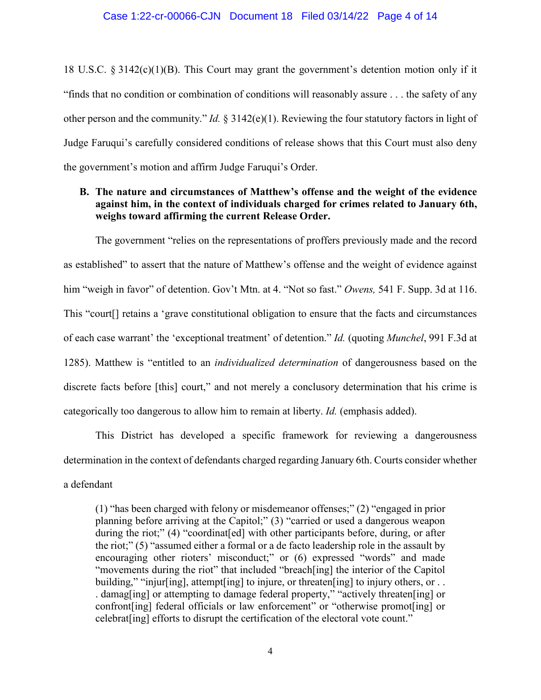#### Case 1:22-cr-00066-CJN Document 18 Filed 03/14/22 Page 4 of 14

18 U.S.C. § 3142(c)(1)(B). This Court may grant the government's detention motion only if it "finds that no condition or combination of conditions will reasonably assure . . . the safety of any other person and the community." *Id.* § 3142(e)(1). Reviewing the four statutory factors in light of Judge Faruqui's carefully considered conditions of release shows that this Court must also deny the government's motion and affirm Judge Faruqui's Order.

# **B. The nature and circumstances of Matthew's offense and the weight of the evidence against him, in the context of individuals charged for crimes related to January 6th, weighs toward affirming the current Release Order.**

The government "relies on the representations of proffers previously made and the record as established" to assert that the nature of Matthew's offense and the weight of evidence against him "weigh in favor" of detention. Gov't Mtn. at 4. "Not so fast." *Owens,* 541 F. Supp. 3d at 116. This "court[] retains a 'grave constitutional obligation to ensure that the facts and circumstances of each case warrant' the 'exceptional treatment' of detention." *Id.* (quoting *Munchel*, 991 F.3d at 1285). Matthew is "entitled to an *individualized determination* of dangerousness based on the discrete facts before [this] court," and not merely a conclusory determination that his crime is categorically too dangerous to allow him to remain at liberty. *Id.* (emphasis added).

This District has developed a specific framework for reviewing a dangerousness determination in the context of defendants charged regarding January 6th. Courts consider whether a defendant

(1) "has been charged with felony or misdemeanor offenses;" (2) "engaged in prior planning before arriving at the Capitol;" (3) "carried or used a dangerous weapon during the riot;" (4) "coordinat [ed] with other participants before, during, or after the riot;" (5) "assumed either a formal or a de facto leadership role in the assault by encouraging other rioters' misconduct;" or (6) expressed "words" and made "movements during the riot" that included "breach[ing] the interior of the Capitol building," "injur[ing], attempt[ing] to injure, or threaten[ing] to injury others, or ... . damag[ing] or attempting to damage federal property," "actively threaten[ing] or confront[ing] federal officials or law enforcement" or "otherwise promot[ing] or celebrat[ing] efforts to disrupt the certification of the electoral vote count."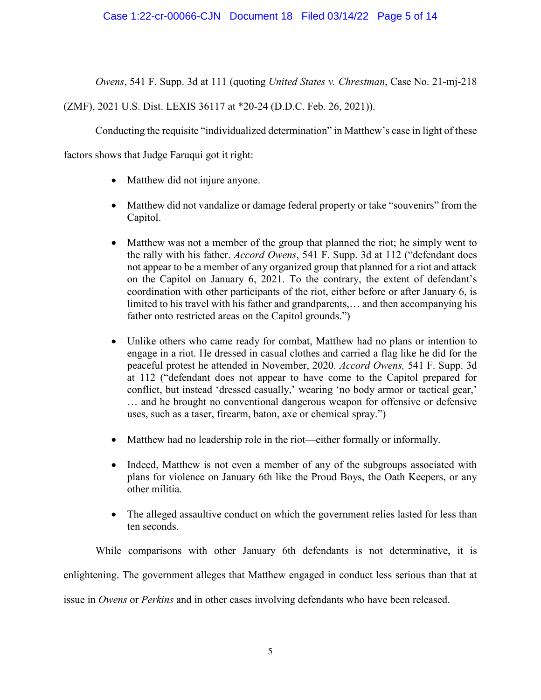*Owens*, 541 F. Supp. 3d at 111 (quoting *United States v. Chrestman*, Case No. 21-mj-218

(ZMF), 2021 U.S. Dist. LEXIS 36117 at \*20-24 (D.D.C. Feb. 26, 2021)).

Conducting the requisite "individualized determination" in Matthew's case in light of these

factors shows that Judge Faruqui got it right:

- Matthew did not injure anyone.
- Matthew did not vandalize or damage federal property or take "souvenirs" from the Capitol.
- Matthew was not a member of the group that planned the riot; he simply went to the rally with his father. *Accord Owens*, 541 F. Supp. 3d at 112 ("defendant does not appear to be a member of any organized group that planned for a riot and attack on the Capitol on January 6, 2021. To the contrary, the extent of defendant's coordination with other participants of the riot, either before or after January 6, is limited to his travel with his father and grandparents,… and then accompanying his father onto restricted areas on the Capitol grounds.")
- Unlike others who came ready for combat, Matthew had no plans or intention to engage in a riot. He dressed in casual clothes and carried a flag like he did for the peaceful protest he attended in November, 2020. *Accord Owens,* 541 F. Supp. 3d at 112 ("defendant does not appear to have come to the Capitol prepared for conflict, but instead 'dressed casually,' wearing 'no body armor or tactical gear,' … and he brought no conventional dangerous weapon for offensive or defensive uses, such as a taser, firearm, baton, axe or chemical spray.")
- Matthew had no leadership role in the riot—either formally or informally.
- Indeed, Matthew is not even a member of any of the subgroups associated with plans for violence on January 6th like the Proud Boys, the Oath Keepers, or any other militia.
- The alleged assaultive conduct on which the government relies lasted for less than ten seconds.

While comparisons with other January 6th defendants is not determinative, it is enlightening. The government alleges that Matthew engaged in conduct less serious than that at issue in *Owens* or *Perkins* and in other cases involving defendants who have been released.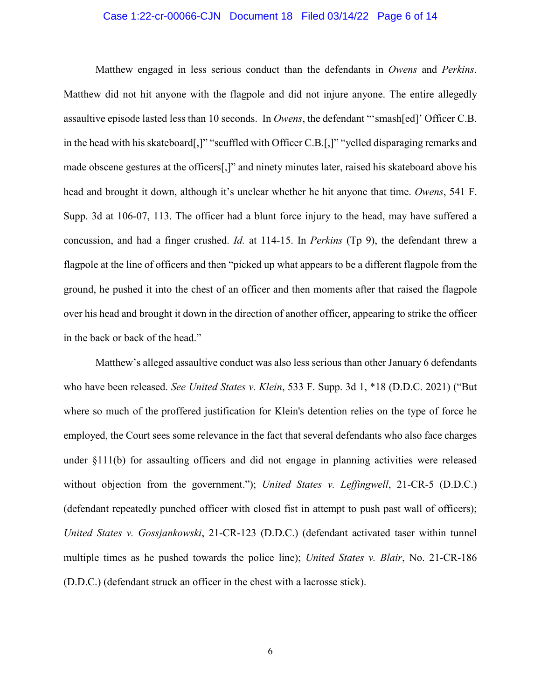### Case 1:22-cr-00066-CJN Document 18 Filed 03/14/22 Page 6 of 14

Matthew engaged in less serious conduct than the defendants in *Owens* and *Perkins*. Matthew did not hit anyone with the flagpole and did not injure anyone. The entire allegedly assaultive episode lasted less than 10 seconds. In *Owens*, the defendant "'smash[ed]' Officer C.B. in the head with his skateboard[,]" "scuffled with Officer C.B.[,]" "yelled disparaging remarks and made obscene gestures at the officers[,]" and ninety minutes later, raised his skateboard above his head and brought it down, although it's unclear whether he hit anyone that time. *Owens*, 541 F. Supp. 3d at 106-07, 113. The officer had a blunt force injury to the head, may have suffered a concussion, and had a finger crushed. *Id.* at 114-15. In *Perkins* (Tp 9), the defendant threw a flagpole at the line of officers and then "picked up what appears to be a different flagpole from the ground, he pushed it into the chest of an officer and then moments after that raised the flagpole over his head and brought it down in the direction of another officer, appearing to strike the officer in the back or back of the head."

Matthew's alleged assaultive conduct was also less serious than other January 6 defendants who have been released. *See United States v. Klein*, 533 F. Supp. 3d 1, \*18 (D.D.C. 2021) ("But where so much of the proffered justification for Klein's detention relies on the type of force he employed, the Court sees some relevance in the fact that several defendants who also face charges under §111(b) for assaulting officers and did not engage in planning activities were released without objection from the government."); *United States v. Leffingwell*, 21-CR-5 (D.D.C.) (defendant repeatedly punched officer with closed fist in attempt to push past wall of officers); *United States v. Gossjankowski*, 21-CR-123 (D.D.C.) (defendant activated taser within tunnel multiple times as he pushed towards the police line); *United States v. Blair*, No. 21-CR-186 (D.D.C.) (defendant struck an officer in the chest with a lacrosse stick).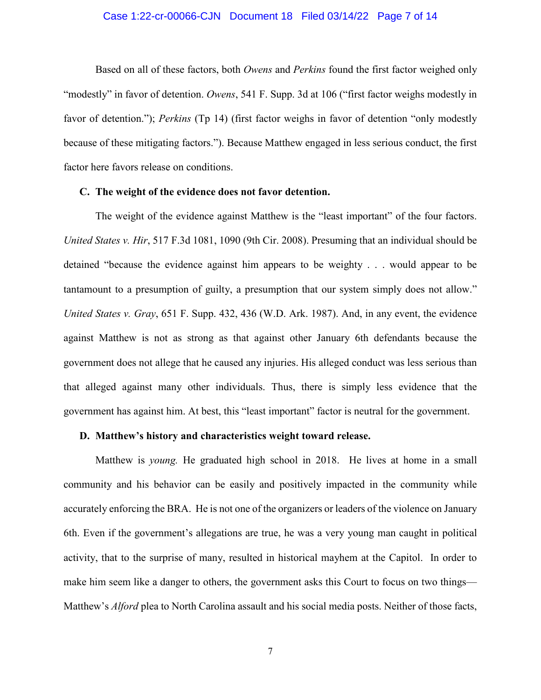### Case 1:22-cr-00066-CJN Document 18 Filed 03/14/22 Page 7 of 14

Based on all of these factors, both *Owens* and *Perkins* found the first factor weighed only "modestly" in favor of detention. *Owens*, 541 F. Supp. 3d at 106 ("first factor weighs modestly in favor of detention."); *Perkins* (Tp 14) (first factor weighs in favor of detention "only modestly because of these mitigating factors."). Because Matthew engaged in less serious conduct, the first factor here favors release on conditions.

#### **C. The weight of the evidence does not favor detention.**

The weight of the evidence against Matthew is the "least important" of the four factors. *United States v. Hir*, 517 F.3d 1081, 1090 (9th Cir. 2008). Presuming that an individual should be detained "because the evidence against him appears to be weighty . . . would appear to be tantamount to a presumption of guilty, a presumption that our system simply does not allow." *United States v. Gray*, 651 F. Supp. 432, 436 (W.D. Ark. 1987). And, in any event, the evidence against Matthew is not as strong as that against other January 6th defendants because the government does not allege that he caused any injuries. His alleged conduct was less serious than that alleged against many other individuals. Thus, there is simply less evidence that the government has against him. At best, this "least important" factor is neutral for the government.

### **D. Matthew's history and characteristics weight toward release.**

Matthew is *young.* He graduated high school in 2018. He lives at home in a small community and his behavior can be easily and positively impacted in the community while accurately enforcing the BRA. He is not one of the organizers or leaders of the violence on January 6th. Even if the government's allegations are true, he was a very young man caught in political activity, that to the surprise of many, resulted in historical mayhem at the Capitol. In order to make him seem like a danger to others, the government asks this Court to focus on two things— Matthew's *Alford* plea to North Carolina assault and his social media posts. Neither of those facts,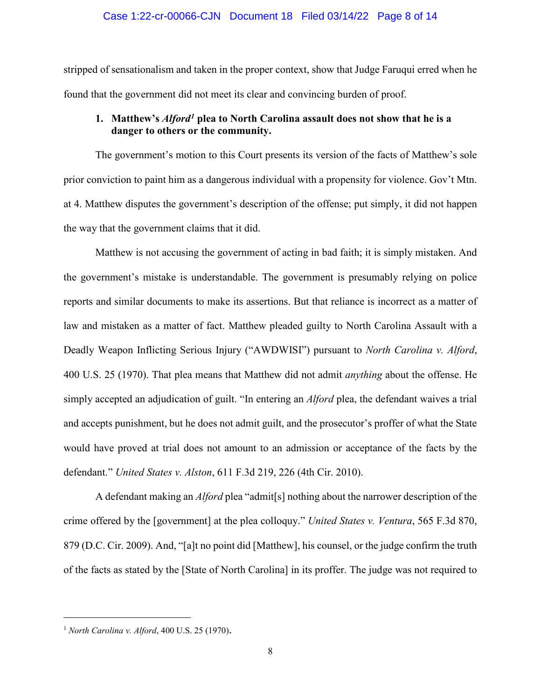#### Case 1:22-cr-00066-CJN Document 18 Filed 03/14/22 Page 8 of 14

stripped of sensationalism and taken in the proper context, show that Judge Faruqui erred when he found that the government did not meet its clear and convincing burden of proof.

# **1. Matthew's** *Alford[1](#page-7-0)* **plea to North Carolina assault does not show that he is a danger to others or the community.**

The government's motion to this Court presents its version of the facts of Matthew's sole prior conviction to paint him as a dangerous individual with a propensity for violence. Gov't Mtn. at 4. Matthew disputes the government's description of the offense; put simply, it did not happen the way that the government claims that it did.

Matthew is not accusing the government of acting in bad faith; it is simply mistaken. And the government's mistake is understandable. The government is presumably relying on police reports and similar documents to make its assertions. But that reliance is incorrect as a matter of law and mistaken as a matter of fact. Matthew pleaded guilty to North Carolina Assault with a Deadly Weapon Inflicting Serious Injury ("AWDWISI") pursuant to *North Carolina v. Alford*, 400 U.S. 25 (1970). That plea means that Matthew did not admit *anything* about the offense. He simply accepted an adjudication of guilt. "In entering an *Alford* plea, the defendant waives a trial and accepts punishment, but he does not admit guilt, and the prosecutor's proffer of what the State would have proved at trial does not amount to an admission or acceptance of the facts by the defendant." *United States v. Alston*, 611 F.3d 219, 226 (4th Cir. 2010).

A defendant making an *Alford* plea "admit[s] nothing about the narrower description of the crime offered by the [government] at the plea colloquy." *United States v. Ventura*, 565 F.3d 870, 879 (D.C. Cir. 2009). And, "[a]t no point did [Matthew], his counsel, or the judge confirm the truth of the facts as stated by the [State of North Carolina] in its proffer. The judge was not required to

 $\overline{a}$ 

<span id="page-7-0"></span><sup>1</sup> *North Carolina v. Alford*, 400 U.S. 25 (1970).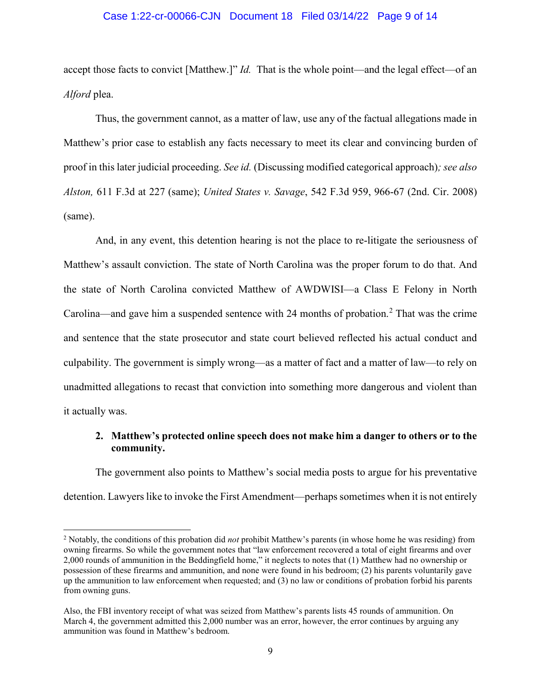### Case 1:22-cr-00066-CJN Document 18 Filed 03/14/22 Page 9 of 14

accept those facts to convict [Matthew.]" *Id.* That is the whole point—and the legal effect—of an *Alford* plea.

Thus, the government cannot, as a matter of law, use any of the factual allegations made in Matthew's prior case to establish any facts necessary to meet its clear and convincing burden of proof in this later judicial proceeding. *See id.* (Discussing modified categorical approach)*; see also Alston,* 611 F.3d at 227 (same); *United States v. Savage*, 542 F.3d 959, 966-67 (2nd. Cir. 2008) (same).

And, in any event, this detention hearing is not the place to re-litigate the seriousness of Matthew's assault conviction. The state of North Carolina was the proper forum to do that. And the state of North Carolina convicted Matthew of AWDWISI—a Class E Felony in North Carolina—and gave him a suspended sentence with [2](#page-8-0)4 months of probation.<sup>2</sup> That was the crime and sentence that the state prosecutor and state court believed reflected his actual conduct and culpability. The government is simply wrong—as a matter of fact and a matter of law—to rely on unadmitted allegations to recast that conviction into something more dangerous and violent than it actually was.

## **2. Matthew's protected online speech does not make him a danger to others or to the community.**

The government also points to Matthew's social media posts to argue for his preventative detention. Lawyers like to invoke the First Amendment—perhaps sometimes when it is not entirely

<span id="page-8-0"></span> <sup>2</sup> Notably, the conditions of this probation did *not* prohibit Matthew's parents (in whose home he was residing) from owning firearms. So while the government notes that "law enforcement recovered a total of eight firearms and over 2,000 rounds of ammunition in the Beddingfield home," it neglects to notes that (1) Matthew had no ownership or possession of these firearms and ammunition, and none were found in his bedroom; (2) his parents voluntarily gave up the ammunition to law enforcement when requested; and (3) no law or conditions of probation forbid his parents from owning guns.

Also, the FBI inventory receipt of what was seized from Matthew's parents lists 45 rounds of ammunition. On March 4, the government admitted this 2,000 number was an error, however, the error continues by arguing any ammunition was found in Matthew's bedroom.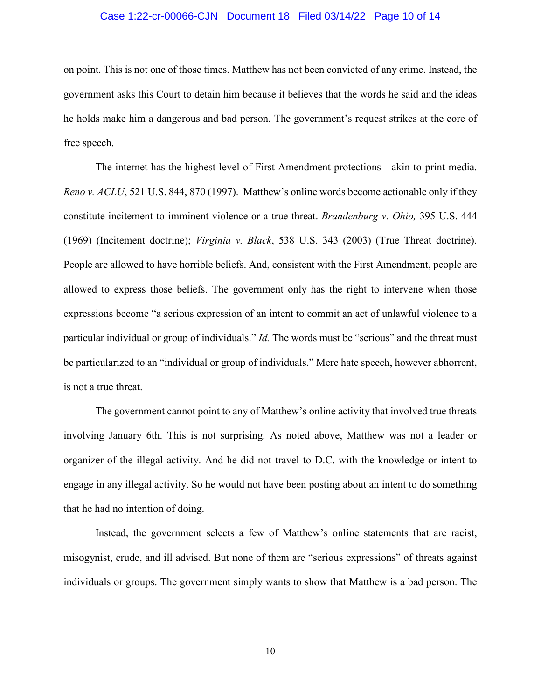### Case 1:22-cr-00066-CJN Document 18 Filed 03/14/22 Page 10 of 14

on point. This is not one of those times. Matthew has not been convicted of any crime. Instead, the government asks this Court to detain him because it believes that the words he said and the ideas he holds make him a dangerous and bad person. The government's request strikes at the core of free speech.

The internet has the highest level of First Amendment protections—akin to print media. *Reno v. ACLU*, 521 U.S. 844, 870 (1997). Matthew's online words become actionable only if they constitute incitement to imminent violence or a true threat. *Brandenburg v. Ohio,* 395 U.S. 444 (1969) (Incitement doctrine); *Virginia v. Black*, 538 U.S. 343 (2003) (True Threat doctrine). People are allowed to have horrible beliefs. And, consistent with the First Amendment, people are allowed to express those beliefs. The government only has the right to intervene when those expressions become "a serious expression of an intent to commit an act of unlawful violence to a particular individual or group of individuals." *Id.* The words must be "serious" and the threat must be particularized to an "individual or group of individuals." Mere hate speech, however abhorrent, is not a true threat.

The government cannot point to any of Matthew's online activity that involved true threats involving January 6th. This is not surprising. As noted above, Matthew was not a leader or organizer of the illegal activity. And he did not travel to D.C. with the knowledge or intent to engage in any illegal activity. So he would not have been posting about an intent to do something that he had no intention of doing.

Instead, the government selects a few of Matthew's online statements that are racist, misogynist, crude, and ill advised. But none of them are "serious expressions" of threats against individuals or groups. The government simply wants to show that Matthew is a bad person. The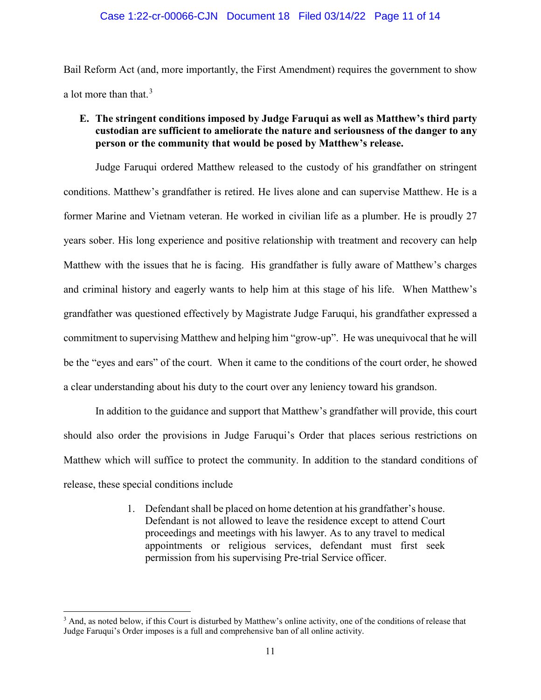Bail Reform Act (and, more importantly, the First Amendment) requires the government to show a lot more than that.<sup>[3](#page-10-0)</sup>

# **E. The stringent conditions imposed by Judge Faruqui as well as Matthew's third party custodian are sufficient to ameliorate the nature and seriousness of the danger to any person or the community that would be posed by Matthew's release.**

Judge Faruqui ordered Matthew released to the custody of his grandfather on stringent conditions. Matthew's grandfather is retired. He lives alone and can supervise Matthew. He is a former Marine and Vietnam veteran. He worked in civilian life as a plumber. He is proudly 27 years sober. His long experience and positive relationship with treatment and recovery can help Matthew with the issues that he is facing. His grandfather is fully aware of Matthew's charges and criminal history and eagerly wants to help him at this stage of his life. When Matthew's grandfather was questioned effectively by Magistrate Judge Faruqui, his grandfather expressed a commitment to supervising Matthew and helping him "grow-up". He was unequivocal that he will be the "eyes and ears" of the court. When it came to the conditions of the court order, he showed a clear understanding about his duty to the court over any leniency toward his grandson.

In addition to the guidance and support that Matthew's grandfather will provide, this court should also order the provisions in Judge Faruqui's Order that places serious restrictions on Matthew which will suffice to protect the community. In addition to the standard conditions of release, these special conditions include

> 1. Defendant shall be placed on home detention at his grandfather's house. Defendant is not allowed to leave the residence except to attend Court proceedings and meetings with his lawyer. As to any travel to medical appointments or religious services, defendant must first seek permission from his supervising Pre-trial Service officer.

<span id="page-10-0"></span><sup>&</sup>lt;sup>3</sup> And, as noted below, if this Court is disturbed by Matthew's online activity, one of the conditions of release that Judge Faruqui's Order imposes is a full and comprehensive ban of all online activity.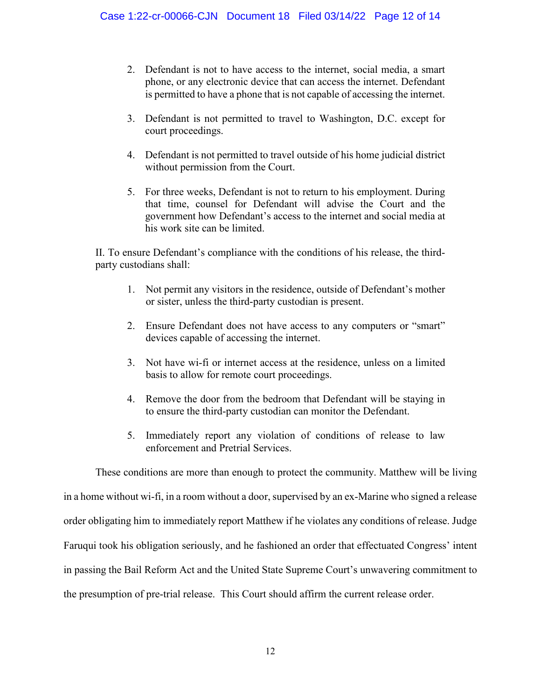- 2. Defendant is not to have access to the internet, social media, a smart phone, or any electronic device that can access the internet. Defendant is permitted to have a phone that is not capable of accessing the internet.
- 3. Defendant is not permitted to travel to Washington, D.C. except for court proceedings.
- 4. Defendant is not permitted to travel outside of his home judicial district without permission from the Court.
- 5. For three weeks, Defendant is not to return to his employment. During that time, counsel for Defendant will advise the Court and the government how Defendant's access to the internet and social media at his work site can be limited.

II. To ensure Defendant's compliance with the conditions of his release, the thirdparty custodians shall:

- 1. Not permit any visitors in the residence, outside of Defendant's mother or sister, unless the third-party custodian is present.
- 2. Ensure Defendant does not have access to any computers or "smart" devices capable of accessing the internet.
- 3. Not have wi-fi or internet access at the residence, unless on a limited basis to allow for remote court proceedings.
- 4. Remove the door from the bedroom that Defendant will be staying in to ensure the third-party custodian can monitor the Defendant.
- 5. Immediately report any violation of conditions of release to law enforcement and Pretrial Services.

These conditions are more than enough to protect the community. Matthew will be living in a home without wi-fi, in a room without a door, supervised by an ex-Marine who signed a release order obligating him to immediately report Matthew if he violates any conditions of release. Judge Faruqui took his obligation seriously, and he fashioned an order that effectuated Congress' intent in passing the Bail Reform Act and the United State Supreme Court's unwavering commitment to the presumption of pre-trial release. This Court should affirm the current release order.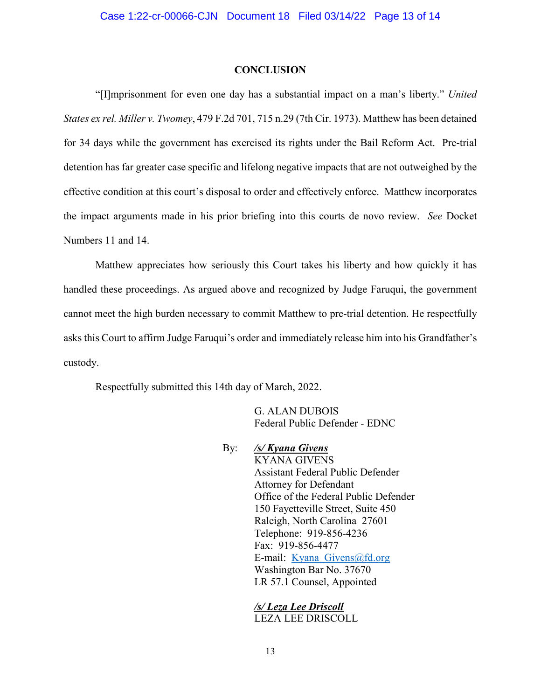#### **CONCLUSION**

"[I]mprisonment for even one day has a substantial impact on a man's liberty." *United States ex rel. Miller v. Twomey*, 479 F.2d 701, 715 n.29 (7th Cir. 1973). Matthew has been detained for 34 days while the government has exercised its rights under the Bail Reform Act. Pre-trial detention has far greater case specific and lifelong negative impacts that are not outweighed by the effective condition at this court's disposal to order and effectively enforce. Matthew incorporates the impact arguments made in his prior briefing into this courts de novo review. *See* Docket Numbers 11 and 14.

Matthew appreciates how seriously this Court takes his liberty and how quickly it has handled these proceedings. As argued above and recognized by Judge Faruqui, the government cannot meet the high burden necessary to commit Matthew to pre-trial detention. He respectfully asks this Court to affirm Judge Faruqui's order and immediately release him into his Grandfather's custody.

Respectfully submitted this 14th day of March, 2022.

G. ALAN DUBOIS Federal Public Defender - EDNC

By: */s/ Kyana Givens* KYANA GIVENS Assistant Federal Public Defender Attorney for Defendant Office of the Federal Public Defender 150 Fayetteville Street, Suite 450 Raleigh, North Carolina 27601 Telephone: 919-856-4236 Fax: 919-856-4477 E-mail: [Kyana\\_Givens@fd.org](mailto:Kyana_Givens@fd.org) Washington Bar No. 37670 LR 57.1 Counsel, Appointed

> */s/ Leza Lee Driscoll* LEZA LEE DRISCOLL